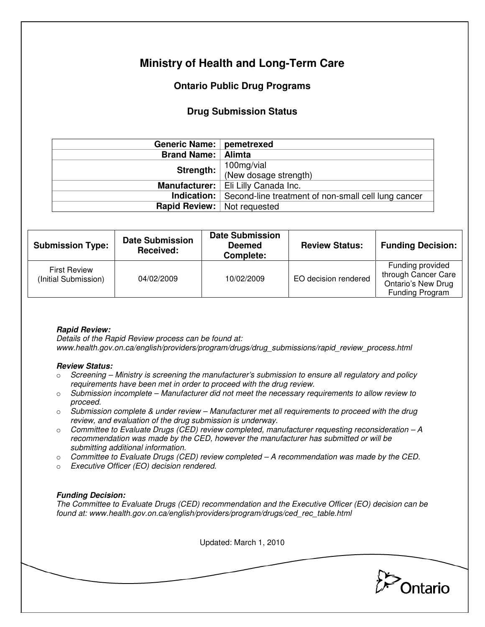# **Ministry of Health and Long-Term Care**

## **Ontario Public Drug Programs**

## **Drug Submission Status**

| Generic Name:   pemetrexed         |                                                                        |
|------------------------------------|------------------------------------------------------------------------|
| <b>Brand Name:   Alimta</b>        |                                                                        |
| Strength:                          | 100mg/vial                                                             |
|                                    | (New dosage strength)                                                  |
|                                    | Manufacturer:   Eli Lilly Canada Inc.                                  |
|                                    | <b>Indication:</b> Second-line treatment of non-small cell lung cancer |
| <b>Rapid Review:</b> Not requested |                                                                        |

| <b>Submission Type:</b>                     | <b>Date Submission</b><br>Received: | <b>Date Submission</b><br><b>Deemed</b><br>Complete: | <b>Review Status:</b> | <b>Funding Decision:</b>                                                                |
|---------------------------------------------|-------------------------------------|------------------------------------------------------|-----------------------|-----------------------------------------------------------------------------------------|
| <b>First Review</b><br>(Initial Submission) | 04/02/2009                          | 10/02/2009                                           | EO decision rendered  | Funding provided<br>through Cancer Care<br><b>Ontario's New Drug</b><br>Funding Program |

### **Rapid Review:**

Details of the Rapid Review process can be found at: www.health.gov.on.ca/english/providers/program/drugs/drug\_submissions/rapid\_review\_process.html

#### **Review Status:**

- $\circ$  Screening Ministry is screening the manufacturer's submission to ensure all regulatory and policy requirements have been met in order to proceed with the drug review.
- $\circ$  Submission incomplete Manufacturer did not meet the necessary requirements to allow review to proceed.
- $\circ$  Submission complete & under review Manufacturer met all requirements to proceed with the drug review, and evaluation of the drug submission is underway.
- $\circ$  Committee to Evaluate Drugs (CED) review completed, manufacturer requesting reconsideration  $-A$ recommendation was made by the CED, however the manufacturer has submitted or will be submitting additional information.
- $\circ$  Committee to Evaluate Drugs (CED) review completed A recommendation was made by the CED.
- o Executive Officer (EO) decision rendered.

### **Funding Decision:**

The Committee to Evaluate Drugs (CED) recommendation and the Executive Officer (EO) decision can be found at: www.health.gov.on.ca/english/providers/program/drugs/ced\_rec\_table.html

Updated: March 1, 2010

Ontario